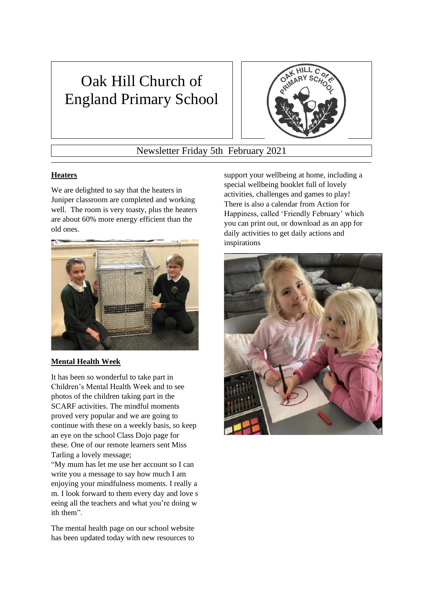# Oak Hill Church of England Primary School



Newsletter Friday 5th February 2021

### **Heaters**

We are delighted to say that the heaters in Juniper classroom are completed and working well. The room is very toasty, plus the heaters are about 60% more energy efficient than the old ones.



#### **Mental Health Week**

It has been so wonderful to take part in Children's Mental Health Week and to see photos of the children taking part in the SCARF activities. The mindful moments proved very popular and we are going to continue with these on a weekly basis, so keep an eye on the school Class Dojo page for these. One of our remote learners sent Miss Tarling a lovely message;

"My mum has let me use her account so I can write you a message to say how much I am enjoying your mindfulness moments. I really a m. I look forward to them every day and love s eeing all the teachers and what you're doing w ith them".

The mental health page on our school website has been updated today with new resources to

support your wellbeing at home, including a special wellbeing booklet full of lovely activities, challenges and games to play! There is also a calendar from Action for Happiness, called 'Friendly February' which you can print out, or download as an app for daily activities to get daily actions and inspirations

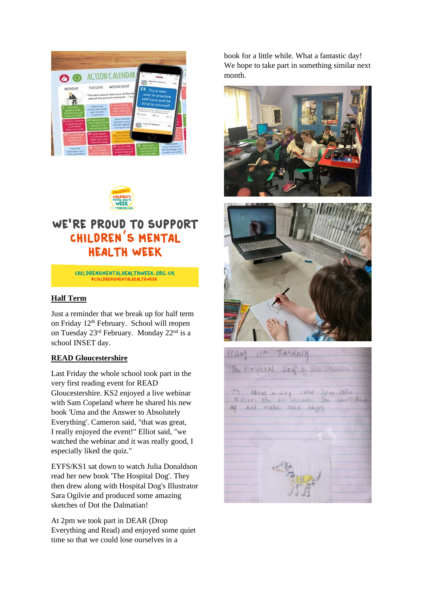| $\bullet$                                                                                    | <b>ACTION CALENDAR</b><br><b><i><u>Ridden Harrison</u></i></b>                                                                                                                                                                                                                                               |
|----------------------------------------------------------------------------------------------|--------------------------------------------------------------------------------------------------------------------------------------------------------------------------------------------------------------------------------------------------------------------------------------------------------------|
| MONDAT                                                                                       | WEDNESDAY<br><b>TAXESDAY</b><br>23 Try a new                                                                                                                                                                                                                                                                 |
|                                                                                              | The best way to take care of the full<br>way to practice<br>care of the present moment" . This<br>self-care and be<br>kind to yourself<br><b>Chairman Professor</b>                                                                                                                                          |
| i jaar hele<br>amaan ahiin<br>amaan pindi li                                                 | <b>Every hour</b><br><b>August Old Plat</b><br>simply take three<br>they be approximately that the figure enterprise<br><b>Contract State</b><br>cates towards.<br>and of street W<br><b>Common</b><br>in and out<br>$\mathcal{C}$<br>struc-                                                                 |
| 13 Million automobile<br><b>A SHOWARD THEFT</b><br>a full lowest.<br><b>Safford one many</b> | <b>Book, breaths</b><br>L2 Post the UA<br>what juned hamisure.<br>Callstown or the<br>warrents of the<br><b>CONTRACTOR</b><br>Rosseat regulary<br><b>Bulling this day</b><br>and an your has                                                                                                                 |
| <b>IR De someth</b><br>فاستعد<br>show to the                                                 | <b>IT</b> caren bena's<br>to increase and<br>mark hear what<br>they are secret.                                                                                                                                                                                                                              |
| Martially<br>scient direct piner<br>lately and unlice                                        | <b>ROSTENSIAN</b><br><b>B.</b> Stag mith<br>27 Access with<br>your hands and<br><b>N</b> San Hit<br>author and you<br>serious than some<br>all the things they<br>the time 10 St<br>of each year and<br>arraibly with his dis-<br><b>College Company</b><br><b>WIE AND HOME</b><br><b>Children</b> for News- |



# WE'RE PROUD TO SUPPORT CHILDREN'S MENTAL **HEALTH WEEK**

CHILDRENSMENTALHEALTHWEEK.ORG.UK **#CHILDRENSMENTALHEALTHWEI** 

#### **Half Term**

Just a reminder that we break up for half term on Friday 12th February. School will reopen on Tuesday 23rd February. Monday 22nd is a school INSET day.

#### **READ Gloucestershire**

Last Friday the whole school took part in the very first reading event for READ Gloucestershire. KS2 enjoyed a live webinar with Sam Copeland where he shared his new book 'Uma and the Answer to Absolutely Everything'. Cameron said, "that was great, I really enjoyed the event!" Elliot said, "we watched the webinar and it was really good, I especially liked the quiz."

EYFS/KS1 sat down to watch Julia Donaldson read her new book 'The Hospital Dog'. They then drew along with Hospital Dog's Illustrator Sara Ogilvie and produced some amazing sketches of Dot the Dalmatian!

At 2pm we took part in DEAR (Drop Everything and Read) and enjoyed some quiet time so that we could lose ourselves in a

book for a little while. What a fantastic day! We hope to take part in something similar next month.





FENNY  $23h$ TAMADIA The HASPITAL itis Abent e dry cully Spec Who NASLES the ist different JAD and makes there happy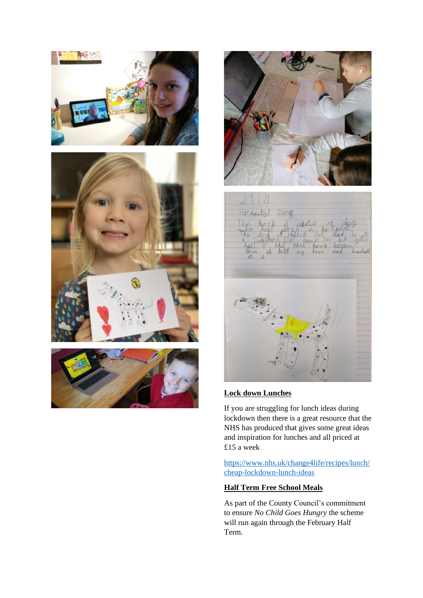







#### **Lock down Lunches**

If you are struggling for lunch ideas during lockdown then there is a great resource that the NHS has produced that gives some great ideas and inspiration for lunches and all priced at £15 a week

[https://www.nhs.uk/change4life/recipes/lunch/](https://www.nhs.uk/change4life/recipes/lunch/cheap-lockdown-lunch-ideas) [cheap-lockdown-lunch-ideas](https://www.nhs.uk/change4life/recipes/lunch/cheap-lockdown-lunch-ideas)

## **Half Term Free School Meals**

As part of the County Council's commitment to ensure *No Child Goes Hungry* the scheme will run again through the February Half Term.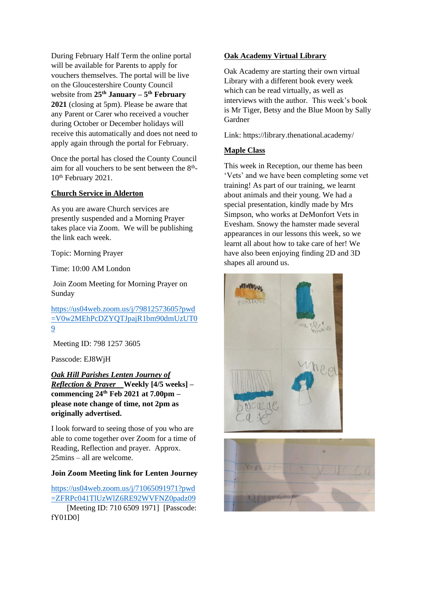During February Half Term the online portal will be available for Parents to apply for vouchers themselves. The portal will be live on the Gloucestershire County Council website from **25th January – 5 th February 2021** (closing at 5pm). Please be aware that any Parent or Carer who received a voucher during October or December holidays will receive this automatically and does not need to apply again through the portal for February.

Once the portal has closed the County Council aim for all vouchers to be sent between the  $8<sup>th</sup>$ -10<sup>th</sup> February 2021.

#### **Church Service in Alderton**

As you are aware Church services are presently suspended and a Morning Prayer takes place via Zoom. We will be publishing the link each week.

Topic: Morning Prayer

Time: 10:00 AM London

Join Zoom Meeting for Morning Prayer on Sunday

[https://us04web.zoom.us/j/79812573605?pwd](https://us04web.zoom.us/j/79812573605?pwd=V0w2MEhPcDZYQTJpajR1bm90dmUzUT09) [=V0w2MEhPcDZYQTJpajR1bm90dmUzUT0](https://us04web.zoom.us/j/79812573605?pwd=V0w2MEhPcDZYQTJpajR1bm90dmUzUT09) [9](https://us04web.zoom.us/j/79812573605?pwd=V0w2MEhPcDZYQTJpajR1bm90dmUzUT09)

Meeting ID: 798 1257 3605

Passcode: EJ8WjH

#### *Oak Hill Parishes Lenten Journey of Reflection & Prayer* **Weekly [4/5 weeks] – commencing 24th Feb 2021 at 7.00pm – please note change of time, not 2pm as originally advertised.**

I look forward to seeing those of you who are able to come together over Zoom for a time of Reading, Reflection and prayer. Approx. 25mins – all are welcome.

#### **Join Zoom Meeting link for Lenten Journey**

[https://us04web.zoom.us/j/71065091971?pwd](https://us04web.zoom.us/j/71065091971?pwd=ZFRPc041TlUzWlZ6RE92WVFNZ0padz09) [=ZFRPc041TlUzWlZ6RE92WVFNZ0padz09](https://us04web.zoom.us/j/71065091971?pwd=ZFRPc041TlUzWlZ6RE92WVFNZ0padz09) [Meeting ID: 710 6509 1971] [Passcode: fY01D0]

#### **Oak Academy Virtual Library**

Oak Academy are starting their own virtual Library with a different book every week which can be read virtually, as well as interviews with the author. This week's book is Mr Tiger, Betsy and the Blue Moon by Sally Gardner

Link: https://library.thenational.academy/

#### **Maple Class**

This week in Reception, our theme has been 'Vets' and we have been completing some vet training! As part of our training, we learnt about animals and their young. We had a special presentation, kindly made by Mrs Simpson, who works at DeMonfort Vets in Evesham. Snowy the hamster made several appearances in our lessons this week, so we learnt all about how to take care of her! We have also been enjoying finding 2D and 3D shapes all around us.



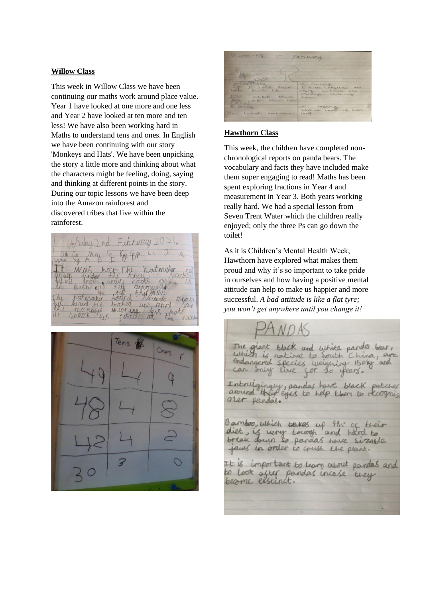#### **Willow Class**

This week in Willow Class we have been continuing our maths work around place value. Year 1 have looked at one more and one less and Year 2 have looked at ten more and ten less! We have also been working hard in Maths to understand tens and ones. In English we have been continuing with our story 'Monkeys and Hats'. We have been unpicking the story a little more and thinking about what the characters might be feeling, doing, saying and thinking at different points in the story. During our topic lessons we have been deep into the Amazon rainforest and discovered tribes that live within the rainforest.

February Mm Fs Kik Houtwurker unde wpr ana





#### **Hawthorn Class**

This week, the children have completed nonchronological reports on panda bears. The vocabulary and facts they have included make them super engaging to read! Maths has been spent exploring fractions in Year 4 and measurement in Year 3. Both years working really hard. We had a special lesson from Seven Trent Water which the children really enjoyed; only the three Ps can go down the toilet!

As it is Children's Mental Health Week, Hawthorn have explored what makes them proud and why it's so important to take pride in ourselves and how having a positive mental attitude can help to make us happier and more successful. *A bad attitude is like a flat tyre; you won't get anywhere until you change it!*

giant black and white panda boar, The which is native to South China, as species weigning 150kg and angered mly live for so years. ingly, pandas have black patches around their eyes to help then to recogniz oter pandés. Bamboo, which takes up 99.5 of diet, is very towagh and hard to break down so pandas have sizable jams in order to crush the plant. It is important to Learn about pandas and Look after pandas incase they become exstinct.